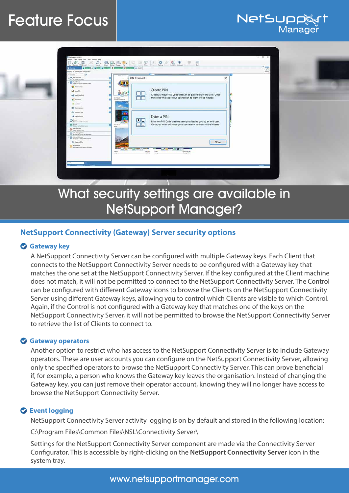# Feature Focus



NetSup

Manage

# What security settings are available in NetSupport Manager?

# **NetSupport Connectivity (Gateway) Server security options**

## **Gateway key**

A NetSupport Connectivity Server can be configured with multiple Gateway keys. Each Client that connects to the NetSupport Connectivity Server needs to be configured with a Gateway key that matches the one set at the NetSupport Connectivity Server. If the key configured at the Client machine does not match, it will not be permitted to connect to the NetSupport Connectivity Server. The Control can be configured with different Gateway icons to browse the Clients on the NetSupport Connectivity Server using different Gateway keys, allowing you to control which Clients are visible to which Control. Again, if the Control is not configured with a Gateway key that matches one of the keys on the NetSupport Connectivity Server, it will not be permitted to browse the NetSupport Connectivity Server to retrieve the list of Clients to connect to.

## **Gateway operators**

Another option to restrict who has access to the NetSupport Connectivity Server is to include Gateway operators. These are user accounts you can configure on the NetSupport Connectivity Server, allowing only the specified operators to browse the NetSupport Connectivity Server. This can prove beneficial if, for example, a person who knows the Gateway key leaves the organisation. Instead of changing the Gateway key, you can just remove their operator account, knowing they will no longer have access to browse the NetSupport Connectivity Server.

## **Event logging**

NetSupport Connectivity Server activity logging is on by default and stored in the following location:

C:\Program Files\Common Files\NSL\Connectivity Server\

Settings for the NetSupport Connectivity Server component are made via the Connectivity Server Configurator. This is accessible by right-clicking on the **NetSupport Connectivity Server** icon in the system tray.

# www.netsupportmanager.com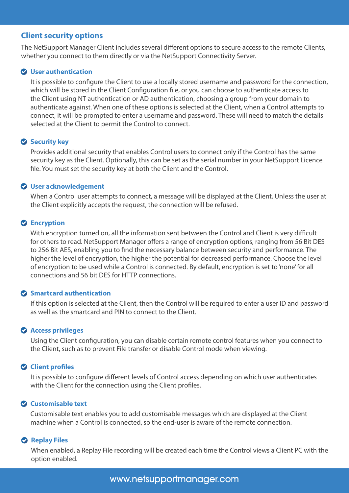### **Client security options**

The NetSupport Manager Client includes several different options to secure access to the remote Clients, whether you connect to them directly or via the NetSupport Connectivity Server.

#### **User authentication**

It is possible to configure the Client to use a locally stored username and password for the connection, which will be stored in the Client Configuration file, or you can choose to authenticate access to the Client using NT authentication or AD authentication, choosing a group from your domain to authenticate against. When one of these options is selected at the Client, when a Control attempts to connect, it will be prompted to enter a username and password. These will need to match the details selected at the Client to permit the Control to connect.

#### **Security key**

Provides additional security that enables Control users to connect only if the Control has the same security key as the Client. Optionally, this can be set as the serial number in your NetSupport Licence file. You must set the security key at both the Client and the Control.

#### **User acknowledgement**

When a Control user attempts to connect, a message will be displayed at the Client. Unless the user at the Client explicitly accepts the request, the connection will be refused.

#### **Encryption**

With encryption turned on, all the information sent between the Control and Client is very difficult for others to read. NetSupport Manager offers a range of encryption options, ranging from 56 Bit DES to 256 Bit AES, enabling you to find the necessary balance between security and performance. The higher the level of encryption, the higher the potential for decreased performance. Choose the level of encryption to be used while a Control is connected. By default, encryption is set to 'none' for all connections and 56 bit DES for HTTP connections.

#### **Smartcard authentication**

If this option is selected at the Client, then the Control will be required to enter a user ID and password as well as the smartcard and PIN to connect to the Client.

#### **Access privileges**

Using the Client configuration, you can disable certain remote control features when you connect to the Client, such as to prevent File transfer or disable Control mode when viewing.

#### **Client profiles**

It is possible to configure different levels of Control access depending on which user authenticates with the Client for the connection using the Client profiles.

#### **Customisable text**

Customisable text enables you to add customisable messages which are displayed at the Client machine when a Control is connected, so the end-user is aware of the remote connection.

#### **2** Replay Files

When enabled, a Replay File recording will be created each time the Control views a Client PC with the option enabled.

www.netsupportmanager.com